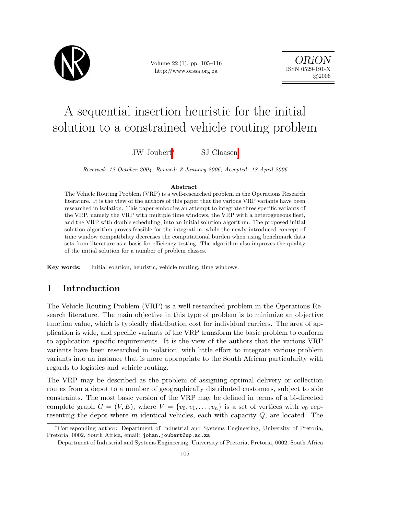

Volume 22 (1), pp. 105–116 http://www.orssa.org.za

ORiON ISSN 0529-191-X  $C$  2006

# A sequential insertion heuristic for the initial solution to a constrained vehicle routing problem

JW Joubert<sup>∗</sup> SJ Claasen†

Received: 12 October 2004; Revised: 3 January 2006; Accepted: 18 April 2006

#### Abstract

The Vehicle Routing Problem (VRP) is a well-researched problem in the Operations Research literature. It is the view of the authors of this paper that the various VRP variants have been researched in isolation. This paper embodies an attempt to integrate three specific variants of the VRP, namely the VRP with multiple time windows, the VRP with a heterogeneous fleet, and the VRP with double scheduling, into an initial solution algorithm. The proposed initial solution algorithm proves feasible for the integration, while the newly introduced concept of time window compatibility decreases the computational burden when using benchmark data sets from literature as a basis for efficiency testing. The algorithm also improves the quality of the initial solution for a number of problem classes.

Key words: Initial solution, heuristic, vehicle routing, time windows.

## 1 Introduction

The Vehicle Routing Problem (VRP) is a well-researched problem in the Operations Research literature. The main objective in this type of problem is to minimize an objective function value, which is typically distribution cost for individual carriers. The area of application is wide, and specific variants of the VRP transform the basic problem to conform to application specific requirements. It is the view of the authors that the various VRP variants have been researched in isolation, with little effort to integrate various problem variants into an instance that is more appropriate to the South African particularity with regards to logistics and vehicle routing.

The VRP may be described as the problem of assigning optimal delivery or collection routes from a depot to a number of geographically distributed customers, subject to side constraints. The most basic version of the VRP may be defined in terms of a bi-directed complete graph  $G = (V, E)$ , where  $V = \{v_0, v_1, \ldots, v_n\}$  is a set of vertices with  $v_0$  representing the depot where  $m$  identical vehicles, each with capacity  $Q$ , are located. The

<sup>∗</sup>Corresponding author: Department of Industrial and Systems Engineering, University of Pretoria, Pretoria, 0002, South Africa, email: johan.joubert@up.ac.za

<sup>†</sup>Department of Industrial and Systems Engineering, University of Pretoria, Pretoria, 0002, South Africa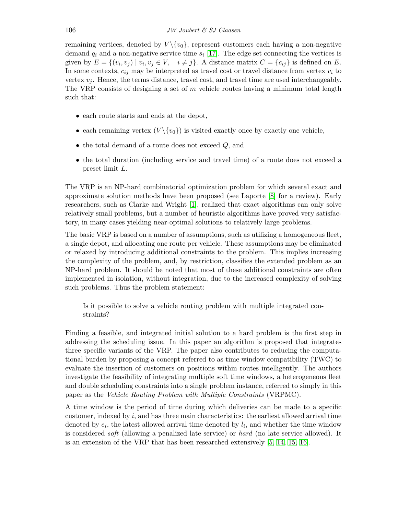remaining vertices, denoted by  $V \setminus \{v_0\}$ , represent customers each having a non-negative demand  $q_i$  and a non-negative service time  $s_i$  [\[17\]](#page-11-0). The edge set connecting the vertices is given by  $E = \{(v_i, v_j) \mid v_i, v_j \in V, \quad i \neq j\}$ . A distance matrix  $C = \{c_{ij}\}\$ is defined on E. In some contexts,  $c_{ij}$  may be interpreted as travel cost or travel distance from vertex  $v_i$  to vertex  $v_i$ . Hence, the terms distance, travel cost, and travel time are used interchangeably. The VRP consists of designing a set of  $m$  vehicle routes having a minimum total length such that:

- each route starts and ends at the depot,
- each remaining vertex  $(V \setminus \{v_0\})$  is visited exactly once by exactly one vehicle,
- $\bullet$  the total demand of a route does not exceed  $Q$ , and
- the total duration (including service and travel time) of a route does not exceed a preset limit L.

The VRP is an NP-hard combinatorial optimization problem for which several exact and approximate solution methods have been proposed (see Laporte [\[8\]](#page-10-0) for a review). Early researchers, such as Clarke and Wright [\[1\]](#page-10-1), realized that exact algorithms can only solve relatively small problems, but a number of heuristic algorithms have proved very satisfactory, in many cases yielding near-optimal solutions to relatively large problems.

The basic VRP is based on a number of assumptions, such as utilizing a homogeneous fleet, a single depot, and allocating one route per vehicle. These assumptions may be eliminated or relaxed by introducing additional constraints to the problem. This implies increasing the complexity of the problem, and, by restriction, classifies the extended problem as an NP-hard problem. It should be noted that most of these additional constraints are often implemented in isolation, without integration, due to the increased complexity of solving such problems. Thus the problem statement:

Is it possible to solve a vehicle routing problem with multiple integrated constraints?

Finding a feasible, and integrated initial solution to a hard problem is the first step in addressing the scheduling issue. In this paper an algorithm is proposed that integrates three specific variants of the VRP. The paper also contributes to reducing the computational burden by proposing a concept referred to as time window compatibility (TWC) to evaluate the insertion of customers on positions within routes intelligently. The authors investigate the feasibility of integrating multiple soft time windows, a heterogeneous fleet and double scheduling constraints into a single problem instance, referred to simply in this paper as the Vehicle Routing Problem with Multiple Constraints (VRPMC).

A time window is the period of time during which deliveries can be made to a specific customer, indexed by  $i$ , and has three main characteristics: the earliest allowed arrival time denoted by  $e_i$ , the latest allowed arrival time denoted by  $l_i$ , and whether the time window is considered soft (allowing a penalized late service) or hard (no late service allowed). It is an extension of the VRP that has been researched extensively [\[5,](#page-10-2) [14,](#page-11-1) [15,](#page-11-2) [16\]](#page-11-3).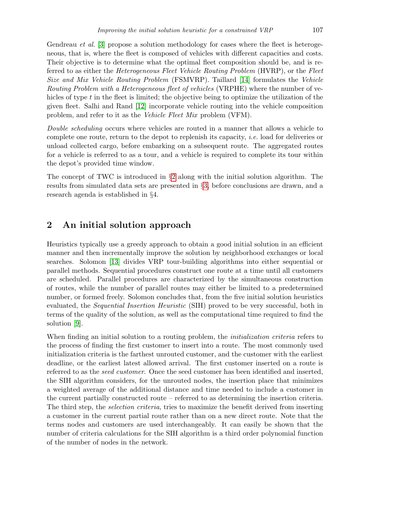Gendreau *et al.* [\[3\]](#page-10-3) propose a solution methodology for cases where the fleet is heterogeneous, that is, where the fleet is composed of vehicles with different capacities and costs. Their objective is to determine what the optimal fleet composition should be, and is referred to as either the Heterogeneous Fleet Vehicle Routing Problem (HVRP), or the Fleet Size and Mix Vehicle Routing Problem (FSMVRP). Taillard [\[14\]](#page-11-1) formulates the Vehicle Routing Problem with a Heterogeneous fleet of vehicles (VRPHE) where the number of vehicles of type t in the fleet is limited; the objective being to optimize the utilization of the given fleet. Salhi and Rand [\[12\]](#page-11-4) incorporate vehicle routing into the vehicle composition problem, and refer to it as the Vehicle Fleet Mix problem (VFM).

Double scheduling occurs where vehicles are routed in a manner that allows a vehicle to complete one route, return to the depot to replenish its capacity, *i.e.* load for deliveries or unload collected cargo, before embarking on a subsequent route. The aggregated routes for a vehicle is referred to as a tour, and a vehicle is required to complete its tour within the depot's provided time window.

The concept of TWC is introduced in §[2](#page-2-0) along with the initial solution algorithm. The results from simulated data sets are presented in §[3,](#page-5-0) before conclusions are drawn, and a research agenda is established in §4.

#### <span id="page-2-0"></span>2 An initial solution approach

Heuristics typically use a greedy approach to obtain a good initial solution in an efficient manner and then incrementally improve the solution by neighborhood exchanges or local searches. Solomon [\[13\]](#page-11-5) divides VRP tour-building algorithms into either sequential or parallel methods. Sequential procedures construct one route at a time until all customers are scheduled. Parallel procedures are characterized by the simultaneous construction of routes, while the number of parallel routes may either be limited to a predetermined number, or formed freely. Solomon concludes that, from the five initial solution heuristics evaluated, the *Sequential Insertion Heuristic* (SIH) proved to be very successful, both in terms of the quality of the solution, as well as the computational time required to find the solution [\[9\]](#page-10-4).

When finding an initial solution to a routing problem, the *initialization criteria* refers to the process of finding the first customer to insert into a route. The most commonly used initialization criteria is the farthest unrouted customer, and the customer with the earliest deadline, or the earliest latest allowed arrival. The first customer inserted on a route is referred to as the seed customer. Once the seed customer has been identified and inserted, the SIH algorithm considers, for the unrouted nodes, the insertion place that minimizes a weighted average of the additional distance and time needed to include a customer in the current partially constructed route – referred to as determining the insertion criteria. The third step, the *selection criteria*, tries to maximize the benefit derived from inserting a customer in the current partial route rather than on a new direct route. Note that the terms nodes and customers are used interchangeably. It can easily be shown that the number of criteria calculations for the SIH algorithm is a third order polynomial function of the number of nodes in the network.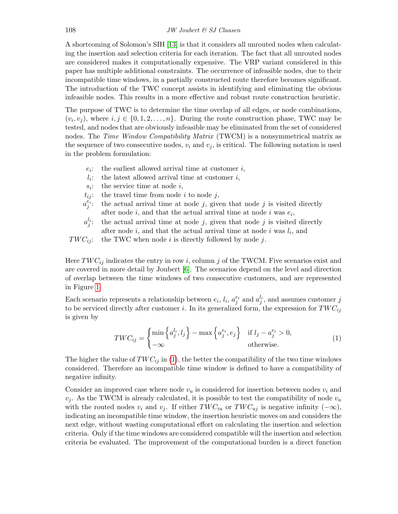A shortcoming of Solomon's SIH [\[13\]](#page-11-5) is that it considers all unrouted nodes when calculating the insertion and selection criteria for each iteration. The fact that all unrouted nodes are considered makes it computationally expensive. The VRP variant considered in this paper has multiple additional constraints. The occurrence of infeasible nodes, due to their incompatible time windows, in a partially constructed route therefore becomes significant. The introduction of the TWC concept assists in identifying and eliminating the obvious infeasible nodes. This results in a more effective and robust route construction heuristic.

The purpose of TWC is to determine the time overlap of all edges, or node combinations,  $(v_i, v_j)$ , where  $i, j \in \{0, 1, 2, \ldots, n\}$ . During the route construction phase, TWC may be tested, and nodes that are obviously infeasible may be eliminated from the set of considered nodes. The *Time Window Compatibility Matrix* (TWCM) is a nonsymmetrical matrix as the sequence of two consecutive nodes,  $v_i$  and  $v_j$ , is critical. The following notation is used in the problem formulation:

- $e_i$ : the earliest allowed arrival time at customer  $i$ ,
- $l_i$ : the latest allowed arrival time at customer  $i$ ,
- $s_i$ : the service time at node  $i$ ,
- $t_{ij}$ : the travel time from node i to node j,
- $a_j^{\check{e_i}}$ the actual arrival time at node  $j$ , given that node  $j$  is visited directly after node  $i$ , and that the actual arrival time at node  $i$  was  $e_i$ ,
- $a_j^{l_i}$ the actual arrival time at node  $j$ , given that node  $j$  is visited directly after node  $i$ , and that the actual arrival time at node  $i$  was  $l_i$ , and
- $TWC_{ij}$ : the TWC when node i is directly followed by node j.

Here  $TWC_{ij}$  indicates the entry in row i, column j of the TWCM. Five scenarios exist and are covered in more detail by Joubert [\[6\]](#page-10-5). The scenarios depend on the level and direction of overlap between the time windows of two consecutive customers, and are represented in Figure [1.](#page-4-0)

Each scenario represents a relationship between  $e_i$ ,  $l_i$ ,  $a_j^{e_i}$  and  $a_j^{l_i}$ , and assumes customer j to be serviced directly after customer i. In its generalized form, the expression for  $TWC_{ij}$ is given by

<span id="page-3-0"></span>
$$
TWC_{ij} = \begin{cases} \min \left\{ a_j^{l_i}, l_j \right\} - \max \left\{ a_j^{e_i}, e_j \right\} & \text{if } l_j - a_j^{e_i} > 0, \\ -\infty & \text{otherwise.} \end{cases}
$$
(1)

The higher the value of  $TWC_{ij}$  in [\(1\)](#page-3-0), the better the compatibility of the two time windows considered. Therefore an incompatible time window is defined to have a compatibility of negative infinity.

Consider an improved case where node  $v_u$  is considered for insertion between nodes  $v_i$  and  $v_j$ . As the TWCM is already calculated, it is possible to test the compatibility of node  $v_u$ with the routed nodes  $v_i$  and  $v_j$ . If either  $TWC_{iu}$  or  $TWC_{uj}$  is negative infinity  $(-\infty)$ , indicating an incompatible time window, the insertion heuristic moves on and considers the next edge, without wasting computational effort on calculating the insertion and selection criteria. Only if the time windows are considered compatible will the insertion and selection criteria be evaluated. The improvement of the computational burden is a direct function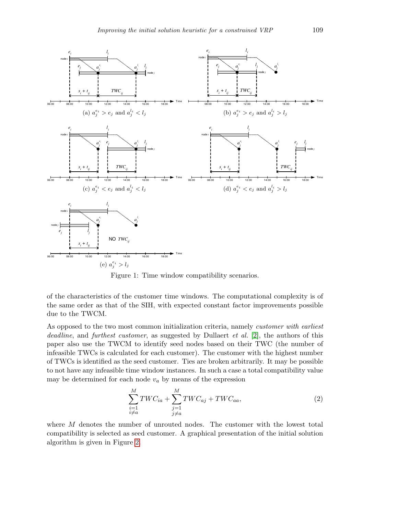

<span id="page-4-0"></span>Figure 1: Time window compatibility scenarios.

of the characteristics of the customer time windows. The computational complexity is of the same order as that of the SIH, with expected constant factor improvements possible due to the TWCM.

As opposed to the two most common initialization criteria, namely customer with earliest deadline, and furthest customer, as suggested by Dullaert et al. [\[2\]](#page-10-6), the authors of this paper also use the TWCM to identify seed nodes based on their TWC (the number of infeasible TWCs is calculated for each customer). The customer with the highest number of TWCs is identified as the seed customer. Ties are broken arbitrarily. It may be possible to not have any infeasible time window instances. In such a case a total compatibility value may be determined for each node  $v_a$  by means of the expression

$$
\sum_{\substack{i=1\\i\neq a}}^M TWC_{ia} + \sum_{\substack{j=1\\j\neq a}}^M TWC_{aj} + TWC_{aa},\tag{2}
$$

where M denotes the number of unrouted nodes. The customer with the lowest total compatibility is selected as seed customer. A graphical presentation of the initial solution algorithm is given in Figure [2.](#page-5-1)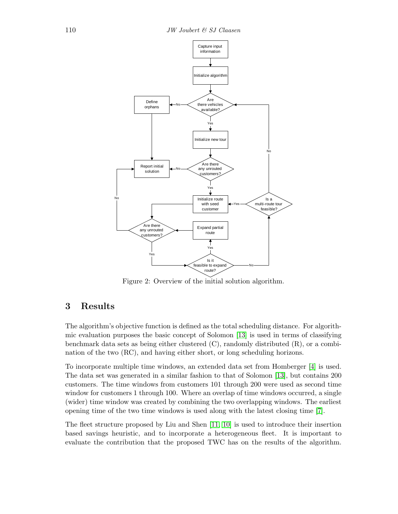

<span id="page-5-1"></span>Figure 2: Overview of the initial solution algorithm.

# <span id="page-5-0"></span>3 Results

The algorithm's objective function is defined as the total scheduling distance. For algorithmic evaluation purposes the basic concept of Solomon [\[13\]](#page-11-5) is used in terms of classifying benchmark data sets as being either clustered  $(C)$ , randomly distributed  $(R)$ , or a combination of the two (RC), and having either short, or long scheduling horizons.

To incorporate multiple time windows, an extended data set from Homberger [\[4\]](#page-10-7) is used. The data set was generated in a similar fashion to that of Solomon [\[13\]](#page-11-5), but contains 200 customers. The time windows from customers 101 through 200 were used as second time window for customers 1 through 100. Where an overlap of time windows occurred, a single (wider) time window was created by combining the two overlapping windows. The earliest opening time of the two time windows is used along with the latest closing time [\[7\]](#page-10-8).

The fleet structure proposed by Liu and Shen [\[11,](#page-11-6) [10\]](#page-11-7) is used to introduce their insertion based savings heuristic, and to incorporate a heterogeneous fleet. It is important to evaluate the contribution that the proposed TWC has on the results of the algorithm.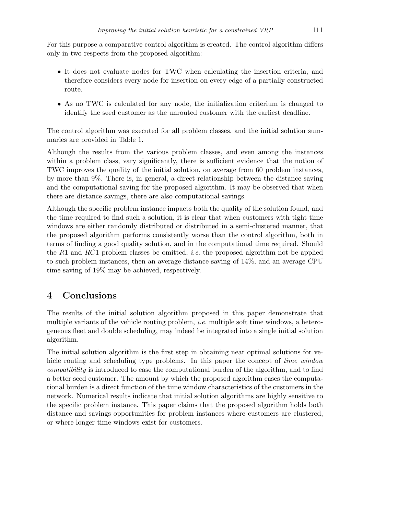For this purpose a comparative control algorithm is created. The control algorithm differs only in two respects from the proposed algorithm:

- It does not evaluate nodes for TWC when calculating the insertion criteria, and therefore considers every node for insertion on every edge of a partially constructed route.
- As no TWC is calculated for any node, the initialization criterium is changed to identify the seed customer as the unrouted customer with the earliest deadline.

The control algorithm was executed for all problem classes, and the initial solution summaries are provided in Table 1.

Although the results from the various problem classes, and even among the instances within a problem class, vary significantly, there is sufficient evidence that the notion of TWC improves the quality of the initial solution, on average from 60 problem instances, by more than 9%. There is, in general, a direct relationship between the distance saving and the computational saving for the proposed algorithm. It may be observed that when there are distance savings, there are also computational savings.

Although the specific problem instance impacts both the quality of the solution found, and the time required to find such a solution, it is clear that when customers with tight time windows are either randomly distributed or distributed in a semi-clustered manner, that the proposed algorithm performs consistently worse than the control algorithm, both in terms of finding a good quality solution, and in the computational time required. Should the  $R1$  and  $RC1$  problem classes be omitted, *i.e.* the proposed algorithm not be applied to such problem instances, then an average distance saving of 14%, and an average CPU time saving of 19% may be achieved, respectively.

### 4 Conclusions

The results of the initial solution algorithm proposed in this paper demonstrate that multiple variants of the vehicle routing problem, i.e. multiple soft time windows, a heterogeneous fleet and double scheduling, may indeed be integrated into a single initial solution algorithm.

The initial solution algorithm is the first step in obtaining near optimal solutions for vehicle routing and scheduling type problems. In this paper the concept of *time window* compatibility is introduced to ease the computational burden of the algorithm, and to find a better seed customer. The amount by which the proposed algorithm eases the computational burden is a direct function of the time window characteristics of the customers in the network. Numerical results indicate that initial solution algorithms are highly sensitive to the specific problem instance. This paper claims that the proposed algorithm holds both distance and savings opportunities for problem instances where customers are clustered, or where longer time windows exist for customers.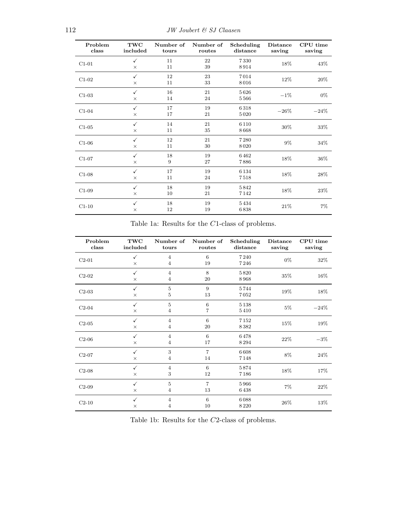| Problem<br>class | TWC<br>included          | Number of<br>tours | Number of<br>routes | Scheduling<br>distance | <b>Distance</b><br>saving | CPU time<br>saving |
|------------------|--------------------------|--------------------|---------------------|------------------------|---------------------------|--------------------|
| $C1-01$          | $\checkmark$<br>$\times$ | 11<br>11           | 22<br>39            | 7330<br>8914           | 18%                       | 43%                |
| $C1-02$          | $\checkmark$<br>$\times$ | 12<br>11           | 23<br>33            | 7014<br>8016           | 12%                       | 20%                |
| $C1-03$          | $\checkmark$<br>$\times$ | 16<br>14           | 21<br>24            | 5626<br>5566           | $-1%$                     | $0\%$              |
| $C1-04$          | $\checkmark$<br>$\times$ | 17<br>17           | 19<br>21            | 6318<br>5020           | $-26%$                    | $-24%$             |
| $C1-05$          | $\checkmark$<br>$\times$ | 14<br>11           | 21<br>35            | 6110<br>8668           | 30%                       | 33%                |
| $C1-06$          | $\checkmark$<br>$\times$ | 12<br>11           | 21<br>30            | 7280<br>8020           | 9%                        | 34%                |
| $C1-07$          | ✓<br>×                   | 18<br>9            | 19<br>27            | 6462<br>7886           | 18%                       | 36%                |
| $C1-08$          | $\checkmark$<br>$\times$ | 17<br>11           | 19<br>24            | 6134<br>7518           | 18%                       | 28%                |
| $C1-09$          | $\checkmark$<br>$\times$ | 18<br>10           | 19<br>21            | 5842<br>7142           | 18%                       | 23\%               |
| $C1-10$          | $\checkmark$<br>$\times$ | 18<br>12           | 19<br>19            | 5434<br>6838           | 21\%                      | $7\%$              |

Table 1a: Results for the C1-class of problems.

| Problem<br>class | TWC<br>included          | Number of<br>tours               | Number of<br>routes  | Scheduling<br>distance | <b>Distance</b><br>saving | CPU time<br>saving |
|------------------|--------------------------|----------------------------------|----------------------|------------------------|---------------------------|--------------------|
| $C2-01$          | ✓<br>$\times$            | $\overline{4}$<br>$\overline{4}$ | 6<br>19              | 7240<br>7246           | $0\%$                     | 32%                |
| $C2-02$          | $\checkmark$<br>$\times$ | $\overline{4}$<br>$\overline{4}$ | 8<br>20              | 5820<br>8968           | 35%                       | 16%                |
| $C2-03$          | $\checkmark$<br>$\times$ | 5<br>5                           | 9<br>13              | 5744<br>7052           | $19\%$                    | 18%                |
| $C2-04$          | $\checkmark$<br>$\times$ | 5<br>$\overline{4}$              | 6<br>7               | 5138<br>5410           | $5\%$                     | $-24%$             |
| $C2-05$          | $\checkmark$<br>$\times$ | $\overline{4}$<br>$\overline{4}$ | 6<br>20              | 7152<br>8382           | 15%                       | 19%                |
| $C2-06$          | $\checkmark$<br>$\times$ | $\overline{4}$<br>4              | 6<br>17              | 6478<br>8294           | 22%                       | $-3%$              |
| $C2-07$          | $\checkmark$<br>$\times$ | 3<br>$\overline{4}$              | $\overline{7}$<br>14 | 6608<br>7148           | $8\%$                     | 24%                |
| $C2-08$          | $\checkmark$<br>$\times$ | $\overline{4}$<br>3              | 6<br>12              | 5874<br>7186           | 18%                       | 17%                |
| $C2-09$          | $\checkmark$<br>$\times$ | $\bf 5$<br>$\overline{4}$        | $\overline{7}$<br>13 | 5966<br>6438           | $7\%$                     | 22%                |
| $C2-10$          | ✓<br>$\times$            | $\overline{4}$<br>4              | 6<br>10              | 6088<br>8220           | 26%                       | 13%                |

Table 1b: Results for the C2-class of problems.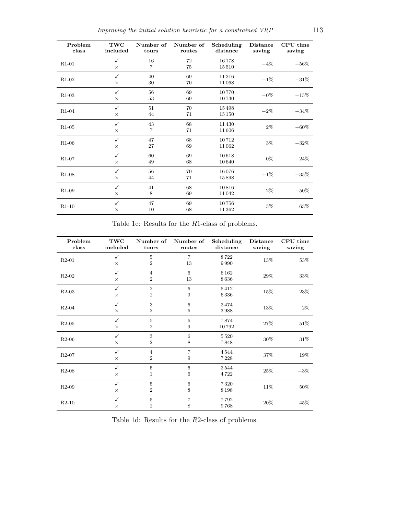| Problem<br>class | TWC<br>included          | Number of<br>tours   | Number of<br>routes | Scheduling<br>distance | <b>Distance</b><br>saving | CPU time<br>saving |
|------------------|--------------------------|----------------------|---------------------|------------------------|---------------------------|--------------------|
| $R1-01$          | $\checkmark$<br>$\times$ | 16<br>$\overline{7}$ | 72<br>75            | 16178<br>15510         | $-4\%$                    | $-56%$             |
| $R1-02$          | $\checkmark$<br>$\times$ | 40<br>30             | 69<br>70            | 11216<br>11068         | $-1\%$                    | $-31%$             |
| $R1-03$          | $\checkmark$<br>$\times$ | 56<br>53             | 69<br>69            | 10770<br>10730         | $-0\%$                    | $-15%$             |
| $R1-04$          | $\checkmark$<br>$\times$ | 51<br>44             | 70<br>71            | 15498<br>15150         | $-2\%$                    | $-34%$             |
| $R1-05$          | $\checkmark$<br>$\times$ | 43<br>$\overline{7}$ | 68<br>71            | 11430<br>11606         | $2\%$                     | $-60\%$            |
| $R1-06$          | $\checkmark$<br>$\times$ | 47<br>27             | 68<br>69            | 10712<br>11062         | $3\%$                     | $-32%$             |
| $R1-07$          | $\checkmark$<br>$\times$ | 60<br>49             | 69<br>68            | 10618<br>10640         | $0\%$                     | $-24%$             |
| $R1-08$          | $\checkmark$<br>$\times$ | 56<br>44             | 70<br>71            | 16076<br>15898         | $-1\%$                    | $-35%$             |
| $R1-09$          | $\checkmark$<br>$\times$ | 41<br>8              | 68<br>69            | 10816<br>11042         | $2\%$                     | $-50\%$            |
| $R1-10$          | $\checkmark$<br>$\times$ | 47<br>10             | 69<br>68            | 10756<br>11362         | $5\%$                     | 63%                |

Table 1c: Results for the  $R1\mbox{-class}$  of problems.

| Problem<br>class | TWC<br>included          | Number of<br>tours               | Number of<br>routes   | Scheduling<br>distance | <b>Distance</b><br>saving | CPU time<br>saving |
|------------------|--------------------------|----------------------------------|-----------------------|------------------------|---------------------------|--------------------|
| $R2-01$          | $\checkmark$<br>$\times$ | 5<br>$\overline{2}$              | $\overline{7}$<br>13  | 8722<br>9990           | 13%                       | 53%                |
| $R2-02$          | $\checkmark$<br>$\times$ | $\overline{4}$<br>$\overline{2}$ | 6<br>13               | 6162<br>8636           | 29%                       | 33%                |
| $R2-03$          | ✓<br>$\times$            | $\overline{2}$<br>$\overline{2}$ | 6<br>9                | 5412<br>6336           | 15%                       | 23%                |
| $R2-04$          | $\checkmark$<br>$\times$ | 3<br>$\overline{2}$              | 6<br>6                | 3474<br>3988           | 13%                       | $2\%$              |
| $R2-05$          | $\checkmark$<br>$\times$ | 5<br>$\overline{2}$              | 6<br>9                | 7874<br>10792          | 27%                       | 51\%               |
| $R2-06$          | ✓<br>$\times$            | 3<br>$\overline{2}$              | $\boldsymbol{6}$<br>8 | 5520<br>7848           | 30%                       | 31\%               |
| $R2-07$          | $\checkmark$<br>$\times$ | $\overline{4}$<br>$\overline{2}$ | $\overline{7}$<br>9   | 4544<br>7228           | 37%                       | 19%                |
| $R2-08$          | $\checkmark$<br>$\times$ | 5<br>1                           | 6<br>6                | 3544<br>4722           | 25%                       | $-3%$              |
| $R2-09$          | ✓<br>$\times$            | 5<br>$\overline{2}$              | 6<br>8                | 7320<br>8198           | 11%                       | 50%                |
| $R2-10$          | $\checkmark$<br>$\times$ | 5<br>$\overline{2}$              | $\overline{7}$<br>8   | 7792<br>9768           | 20%                       | 45\%               |

Table 1d: Results for the R2-class of problems.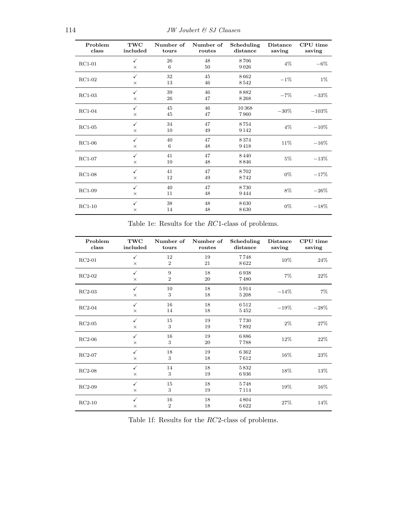| Problem<br>class | TWC<br>included          | Number of<br>tours | Number of<br>routes | Scheduling<br>distance | <b>Distance</b><br>saving | CPU time<br>saving |
|------------------|--------------------------|--------------------|---------------------|------------------------|---------------------------|--------------------|
| $RC1-01$         | $\checkmark$<br>$\times$ | 26<br>6            | 48<br>50            | 8706<br>9026           | $4\%$                     | $-6\%$             |
| $RC1-02$         | $\checkmark$<br>$\times$ | 32<br>13           | 45<br>46            | 8662<br>8542           | $-1%$                     | $1\%$              |
| $RC1-03$         | $\checkmark$<br>$\times$ | 39<br>26           | 46<br>47            | 8882<br>8268           | $-7%$                     | $-33%$             |
| $RC1-04$         | $\checkmark$<br>$\times$ | 45<br>45           | 46<br>47            | 10368<br>7960          | $-30\%$                   | $-103%$            |
| $RC1-05$         | $\checkmark$<br>$\times$ | 34<br>10           | 47<br>49            | 8754<br>9142           | $4\%$                     | $-10\%$            |
| $RC1-06$         | $\checkmark$<br>$\times$ | 40<br>6            | 47<br>48            | 8374<br>9418           | 11%                       | $-16\%$            |
| $RC1-07$         | $\checkmark$<br>$\times$ | 41<br>10           | 47<br>48            | 8440<br>8846           | $5\%$                     | $-13%$             |
| $RC1-08$         | $\checkmark$<br>$\times$ | 41<br>12           | 47<br>49            | 8702<br>8742           | $0\%$                     | $-17%$             |
| $RC1-09$         | $\checkmark$<br>$\times$ | 40<br>11           | 47<br>48            | 8730<br>9444           | 8%                        | $-26%$             |
| $RC1-10$         | $\checkmark$<br>$\times$ | 38<br>14           | 48<br>48            | 8630<br>8630           | $0\%$                     | $-18%$             |

Table 1e: Results for the  $RC1\textrm{-}\text{class}$  of problems.

| Problem<br>class | <b>TWC</b><br>included   | Number of<br>tours   | Number of<br>routes | Scheduling<br>distance | <b>Distance</b><br>saving | CPU time<br>saving |
|------------------|--------------------------|----------------------|---------------------|------------------------|---------------------------|--------------------|
| $RC2-01$         | ✓<br>$\times$            | 12<br>$\overline{2}$ | 19<br>21            | 7748<br>8622           | 10%                       | 24%                |
| $RC2-02$         | $\checkmark$<br>$\times$ | 9<br>$\overline{2}$  | 18<br>20            | 6938<br>7480           | $7\%$                     | 22%                |
| $RC2-03$         | $\checkmark$<br>$\times$ | 10<br>3              | 18<br>18            | 5914<br>5208           | $-14%$                    | $7\%$              |
| $RC2-04$         | $\checkmark$<br>$\times$ | 16<br>14             | 18<br>18            | 6512<br>5452           | $-19%$                    | $-28%$             |
| $RC2-05$         | $\checkmark$<br>$\times$ | 15<br>3              | 19<br>19            | 7730<br>7892           | $2\%$                     | 27%                |
| $RC2-06$         | ✓<br>$\times$            | 16<br>3              | 19<br>20            | 6886<br>7788           | 12%                       | 22%                |
| $RC2-07$         | $\checkmark$<br>$\times$ | 18<br>3              | 19<br>18            | 6362<br>7612           | 16%                       | 23%                |
| $RC2-08$         | $\checkmark$<br>$\times$ | 14<br>3              | 18<br>19            | 5832<br>6936           | 18%                       | 13%                |
| $RC2-09$         | $\checkmark$<br>$\times$ | 15<br>3              | 18<br>19            | 5748<br>7114           | 19%                       | 16%                |
| $RC2-10$         | $\checkmark$<br>$\times$ | 16<br>$\overline{2}$ | 18<br>18            | 4804<br>6622           | 27%                       | 14%                |

Table 1f: Results for the RC2-class of problems.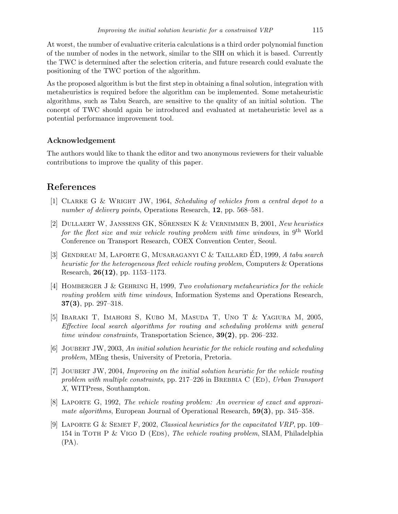At worst, the number of evaluative criteria calculations is a third order polynomial function of the number of nodes in the network, similar to the SIH on which it is based. Currently the TWC is determined after the selection criteria, and future research could evaluate the positioning of the TWC portion of the algorithm.

As the proposed algorithm is but the first step in obtaining a final solution, integration with metaheuristics is required before the algorithm can be implemented. Some metaheuristic algorithms, such as Tabu Search, are sensitive to the quality of an initial solution. The concept of TWC should again be introduced and evaluated at metaheuristic level as a potential performance improvement tool.

#### Acknowledgement

The authors would like to thank the editor and two anonymous reviewers for their valuable contributions to improve the quality of this paper.

#### References

- <span id="page-10-1"></span>[1] Clarke G & Wright JW, 1964, Scheduling of vehicles from a central depot to a number of delivery points, Operations Research, 12, pp. 568–581.
- <span id="page-10-6"></span>[2] DULLAERT W, JANSSENS GK, SÖRENSEN K & VERNIMMEN B, 2001, New heuristics for the fleet size and mix vehicle routing problem with time windows, in  $9<sup>th</sup>$  World Conference on Transport Research, COEX Convention Center, Seoul.
- <span id="page-10-3"></span>[3] GENDREAU M, LAPORTE G, MUSARAGANYI C & TAILLARD ED, 1999, A tabu search heuristic for the heterogeneous fleet vehicle routing problem, Computers & Operations Research, 26(12), pp. 1153–1173.
- <span id="page-10-7"></span>[4] HOMBERGER J & GEHRING H, 1999, Two evolutionary metaheuristics for the vehicle routing problem with time windows, Information Systems and Operations Research,  $37(3)$ , pp. 297–318.
- <span id="page-10-2"></span>[5] Ibaraki T, Imahori S, Kubo M, Masuda T, Uno T & Yagiura M, 2005, Effective local search algorithms for routing and scheduling problems with general time window constraints, Transportation Science,  $39(2)$ , pp. 206–232.
- <span id="page-10-5"></span>[6] Joubert JW, 2003, An initial solution heuristic for the vehicle routing and scheduling problem, MEng thesis, University of Pretoria, Pretoria.
- <span id="page-10-8"></span>[7] Joubert JW, 2004, Improving on the initial solution heuristic for the vehicle routing problem with multiple constraints, pp. 217–226 in BREBBIA C (ED), Urban Transport X, WITPress, Southampton.
- <span id="page-10-0"></span>[8] Laporte G, 1992, The vehicle routing problem: An overview of exact and approximate algorithms, European Journal of Operational Research, 59(3), pp. 345–358.
- <span id="page-10-4"></span>[9] Laporte G & Semet F, 2002, Classical heuristics for the capacitated VRP, pp. 109– 154 in TOTH P & VIGO D (EDS), The vehicle routing problem, SIAM, Philadelphia (PA).